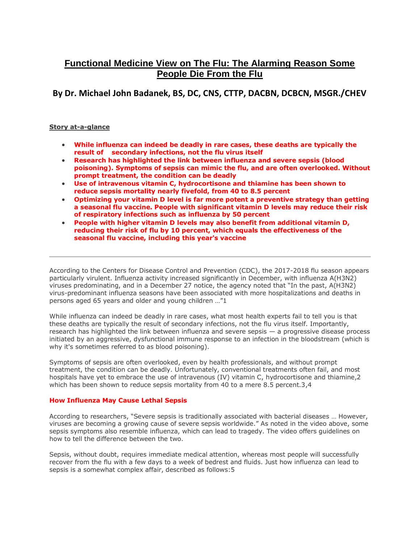# **Functional Medicine View on The Flu: The Alarming Reason Some People Die From the Flu**

**By Dr. Michael John Badanek, BS, DC, CNS, CTTP, DACBN, DCBCN, MSGR./CHEV**

## **Story at-a-glance**

- **While influenza can indeed be deadly in rare cases, these deaths are typically the result of secondary infections, not the flu virus itself**
- **Research has highlighted the link between influenza and severe sepsis (blood poisoning). Symptoms of sepsis can mimic the flu, and are often overlooked. Without prompt treatment, the condition can be deadly**
- **Use of intravenous vitamin C, hydrocortisone and thiamine has been shown to reduce sepsis mortality nearly fivefold, from 40 to 8.5 percent**
- **Optimizing your vitamin D level is far more potent a preventive strategy than getting a seasonal flu vaccine. People with significant vitamin D levels may reduce their risk of respiratory infections such as influenza by 50 percent**
- **People with higher vitamin D levels may also benefit from additional vitamin D, reducing their risk of flu by 10 percent, which equals the effectiveness of the seasonal flu vaccine, including this year's vaccine**

According to the Centers for Disease Control and Prevention (CDC), the 2017-2018 flu season appears particularly virulent. Influenza activity increased significantly in December, with influenza A(H3N2) viruses predominating, and in a December 27 notice, the agency noted that "In the past, A(H3N2) virus-predominant influenza seasons have been associated with more hospitalizations and deaths in persons aged 65 years and older and young children …"1

While influenza can indeed be deadly in rare cases, what most health experts fail to tell you is that these deaths are typically the result of secondary infections, not the flu virus itself. Importantly, research has highlighted the link between influenza and severe sepsis — a progressive disease process initiated by an aggressive, dysfunctional immune response to an infection in the bloodstream (which is why it's sometimes referred to as blood poisoning).

Symptoms of sepsis are often overlooked, even by health professionals, and without prompt treatment, the condition can be deadly. Unfortunately, conventional treatments often fail, and most hospitals have yet to embrace the use of intravenous (IV) vitamin C, hydrocortisone and thiamine, 2 which has been shown to reduce sepsis mortality from 40 to a mere 8.5 percent.3,4

## **How Influenza May Cause Lethal Sepsis**

According to researchers, "Severe sepsis is traditionally associated with bacterial diseases … However, viruses are becoming a growing cause of severe sepsis worldwide." As noted in the video above, some sepsis symptoms also resemble influenza, which can lead to tragedy. The video offers guidelines on how to tell the difference between the two.

Sepsis, without doubt, requires immediate medical attention, whereas most people will successfully recover from the flu with a few days to a week of bedrest and fluids. Just how influenza can lead to sepsis is a somewhat complex affair, described as follows:5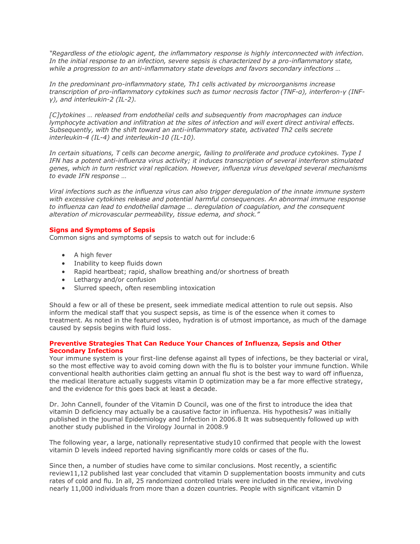*"Regardless of the etiologic agent, the inflammatory response is highly interconnected with infection. In the initial response to an infection, severe sepsis is characterized by a pro-inflammatory state, while a progression to an anti-inflammatory state develops and favors secondary infections …*

*In the predominant pro-inflammatory state, Th1 cells activated by microorganisms increase transcription of pro-inflammatory cytokines such as tumor necrosis factor (TNF-α), interferon-γ (INFγ), and interleukin-2 (IL-2).*

*[C]ytokines … released from endothelial cells and subsequently from macrophages can induce lymphocyte activation and infiltration at the sites of infection and will exert direct antiviral effects. Subsequently, with the shift toward an anti-inflammatory state, activated Th2 cells secrete interleukin-4 (IL-4) and interleukin-10 (IL-10).*

*In certain situations, T cells can become anergic, failing to proliferate and produce cytokines. Type I IFN has a potent anti-influenza virus activity; it induces transcription of several interferon stimulated genes, which in turn restrict viral replication. However, influenza virus developed several mechanisms to evade IFN response …*

*Viral infections such as the influenza virus can also trigger deregulation of the innate immune system with excessive cytokines release and potential harmful consequences. An abnormal immune response to influenza can lead to endothelial damage … deregulation of coagulation, and the consequent alteration of microvascular permeability, tissue edema, and shock."*

### **Signs and Symptoms of Sepsis**

Common signs and symptoms of sepsis to watch out for include:6

- A high fever
- Inability to keep fluids down
- Rapid heartbeat; rapid, shallow breathing and/or shortness of breath
- Lethargy and/or confusion
- Slurred speech, often resembling intoxication

Should a few or all of these be present, seek immediate medical attention to rule out sepsis. Also inform the medical staff that you suspect sepsis, as time is of the essence when it comes to treatment. As noted in the featured video, hydration is of utmost importance, as much of the damage caused by sepsis begins with fluid loss.

### **Preventive Strategies That Can Reduce Your Chances of Influenza, Sepsis and Other Secondary Infections**

Your immune system is your first-line defense against all types of infections, be they bacterial or viral, so the most effective way to avoid coming down with the flu is to bolster your immune function. While conventional health authorities claim getting an annual flu shot is the best way to ward off influenza, the medical literature actually suggests vitamin D optimization may be a far more effective strategy, and the evidence for this goes back at least a decade.

Dr. John Cannell, founder of the Vitamin D Council, was one of the first to introduce the idea that vitamin D deficiency may actually be a causative factor in influenza. His hypothesis7 was initially published in the journal Epidemiology and Infection in 2006.8 It was subsequently followed up with another study published in the Virology Journal in 2008.9

The following year, a large, nationally representative study10 confirmed that people with the lowest vitamin D levels indeed reported having significantly more colds or cases of the flu.

Since then, a number of studies have come to similar conclusions. Most recently, a scientific review11,12 published last year concluded that vitamin D supplementation boosts immunity and cuts rates of cold and flu. In all, 25 randomized controlled trials were included in the review, involving nearly 11,000 individuals from more than a dozen countries. People with significant vitamin D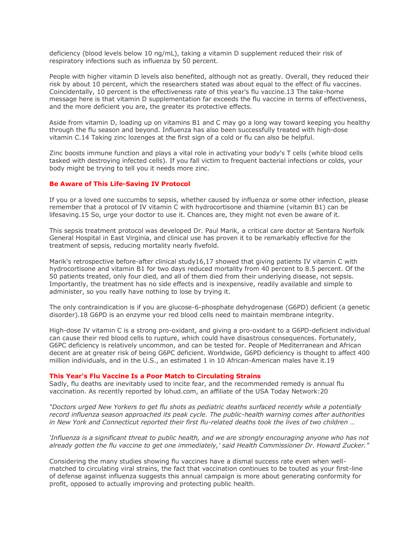deficiency (blood levels below 10 ng/mL), taking a vitamin D supplement reduced their risk of respiratory infections such as influenza by 50 percent.

People with higher vitamin D levels also benefited, although not as greatly. Overall, they reduced their risk by about 10 percent, which the researchers stated was about equal to the effect of flu vaccines. Coincidentally, 10 percent is the effectiveness rate of this year's flu vaccine.13 The take-home message here is that vitamin D supplementation far exceeds the flu vaccine in terms of effectiveness, and the more deficient you are, the greater its protective effects.

Aside from vitamin D, loading up on vitamins B1 and C may go a long way toward keeping you healthy through the flu season and beyond. Influenza has also been successfully treated with high-dose vitamin C.14 Taking zinc lozenges at the first sign of a cold or flu can also be helpful.

Zinc boosts immune function and plays a vital role in activating your body's T cells (white blood cells tasked with destroying infected cells). If you fall victim to frequent bacterial infections or colds, your body might be trying to tell you it needs more zinc.

#### **Be Aware of This Life-Saving IV Protocol**

If you or a loved one succumbs to sepsis, whether caused by influenza or some other infection, please remember that a protocol of IV vitamin C with hydrocortisone and thiamine (vitamin B1) can be lifesaving.15 So, urge your doctor to use it. Chances are, they might not even be aware of it.

This sepsis treatment protocol was developed Dr. Paul Marik, a critical care doctor at Sentara Norfolk General Hospital in East Virginia, and clinical use has proven it to be remarkably effective for the treatment of sepsis, reducing mortality nearly fivefold.

Marik's retrospective before-after clinical study16,17 showed that giving patients IV vitamin C with hydrocortisone and vitamin B1 for two days reduced mortality from 40 percent to 8.5 percent. Of the 50 patients treated, only four died, and all of them died from their underlying disease, not sepsis. Importantly, the treatment has no side effects and is inexpensive, readily available and simple to administer, so you really have nothing to lose by trying it.

The only contraindication is if you are glucose-6-phosphate dehydrogenase (G6PD) deficient (a genetic disorder).18 G6PD is an enzyme your red blood cells need to maintain membrane integrity.

High-dose IV vitamin C is a strong pro-oxidant, and giving a pro-oxidant to a G6PD-deficient individual can cause their red blood cells to rupture, which could have disastrous consequences. Fortunately, G6PC deficiency is relatively uncommon, and can be tested for. People of Mediterranean and African decent are at greater risk of being G6PC deficient. Worldwide, G6PD deficiency is thought to affect 400 million individuals, and in the U.S., an estimated 1 in 10 African-American males have it.19

#### **This Year's Flu Vaccine Is a Poor Match to Circulating Strains**

Sadly, flu deaths are inevitably used to incite fear, and the recommended remedy is annual flu vaccination. As recently reported by lohud.com, an affiliate of the USA Today Network:20

*"Doctors urged New Yorkers to get flu shots as pediatric deaths surfaced recently while a potentially record influenza season approached its peak cycle. The public-health warning comes after authorities in New York and Connecticut reported their first flu-related deaths took the lives of two children …*

*'Influenza is a significant threat to public health, and we are strongly encouraging anyone who has not already gotten the flu vaccine to get one immediately,' said Health Commissioner Dr. Howard Zucker."*

Considering the many studies showing flu vaccines have a dismal success rate even when wellmatched to circulating viral strains, the fact that vaccination continues to be touted as your first-line of defense against influenza suggests this annual campaign is more about generating conformity for profit, opposed to actually improving and protecting public health.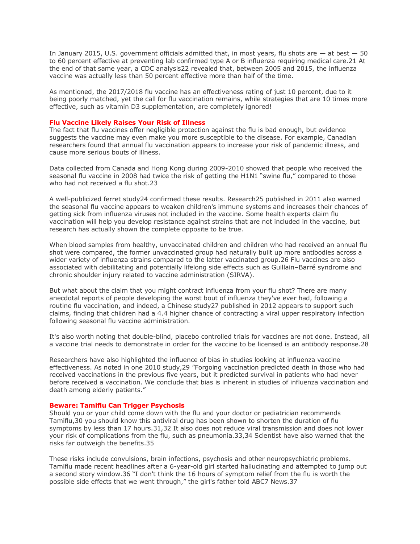In January 2015, U.S. government officials admitted that, in most years, flu shots are  $-$  at best  $-50$ to 60 percent effective at preventing lab confirmed type A or B influenza requiring medical care.21 At the end of that same year, a CDC analysis22 revealed that, between 2005 and 2015, the influenza vaccine was actually less than 50 percent effective more than half of the time.

As mentioned, the 2017/2018 flu vaccine has an effectiveness rating of just 10 percent, due to it being poorly matched, yet the call for flu vaccination remains, while strategies that are 10 times more effective, such as vitamin D3 supplementation, are completely ignored!

#### **Flu Vaccine Likely Raises Your Risk of Illness**

The fact that flu vaccines offer negligible protection against the flu is bad enough, but evidence suggests the vaccine may even make you more susceptible to the disease. For example, Canadian researchers found that annual flu vaccination appears to increase your risk of pandemic illness, and cause more serious bouts of illness.

Data collected from Canada and Hong Kong during 2009-2010 showed that people who received the seasonal flu vaccine in 2008 had twice the risk of getting the H1N1 "swine flu," compared to those who had not received a flu shot.23

A well-publicized ferret study24 confirmed these results. Research25 published in 2011 also warned the seasonal flu vaccine appears to weaken children's immune systems and increases their chances of getting sick from influenza viruses not included in the vaccine. Some health experts claim flu vaccination will help you develop resistance against strains that are not included in the vaccine, but research has actually shown the complete opposite to be true.

When blood samples from healthy, unvaccinated children and children who had received an annual flu shot were compared, the former unvaccinated group had naturally built up more antibodies across a wider variety of influenza strains compared to the latter vaccinated group.26 Flu vaccines are also associated with debilitating and potentially lifelong side effects such as Guillain–Barré syndrome and chronic shoulder injury related to vaccine administration (SIRVA).

But what about the claim that you might contract influenza from your flu shot? There are many anecdotal reports of people developing the worst bout of influenza they've ever had, following a routine flu vaccination, and indeed, a Chinese study27 published in 2012 appears to support such claims, finding that children had a 4.4 higher chance of contracting a viral upper respiratory infection following seasonal flu vaccine administration.

It's also worth noting that double-blind, placebo controlled trials for vaccines are not done. Instead, all a vaccine trial needs to demonstrate in order for the vaccine to be licensed is an antibody response.28

Researchers have also highlighted the influence of bias in studies looking at influenza vaccine effectiveness. As noted in one 2010 study,29 "Forgoing vaccination predicted death in those who had received vaccinations in the previous five years, but it predicted survival in patients who had never before received a vaccination. We conclude that bias is inherent in studies of influenza vaccination and death among elderly patients."

#### **Beware: Tamiflu Can Trigger Psychosis**

Should you or your child come down with the flu and your doctor or pediatrician recommends Tamiflu,30 you should know this antiviral drug has been shown to shorten the duration of flu symptoms by less than 17 hours.31,32 It also does not reduce viral transmission and does not lower your risk of complications from the flu, such as pneumonia.33,34 Scientist have also warned that the risks far outweigh the benefits.35

These risks include convulsions, brain infections, psychosis and other neuropsychiatric problems. Tamiflu made recent headlines after a 6-year-old girl started hallucinating and attempted to jump out a second story window.36 "I don't think the 16 hours of symptom relief from the flu is worth the possible side effects that we went through," the girl's father told ABC7 News.37